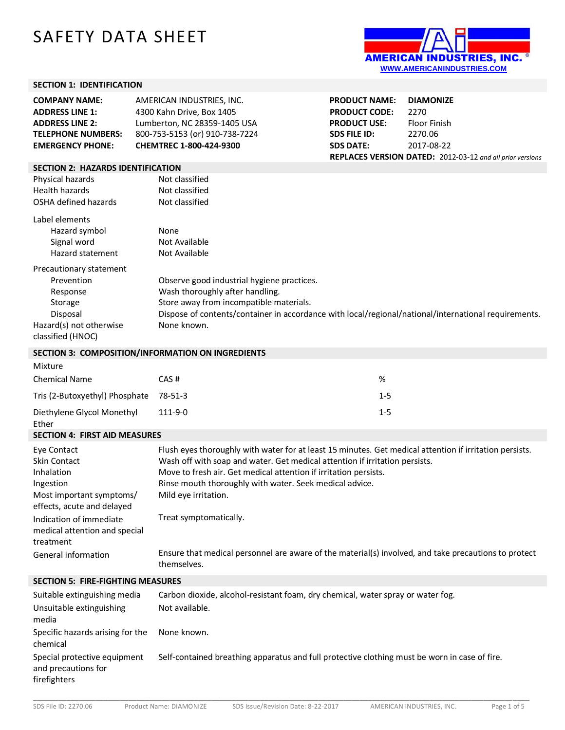# SAFETY DATA SHEET



## **SECTION 1: IDENTIFICATION**

| <b>COMPANY NAME:</b>                     | AMERICAN INDUSTRIES, INC.      | <b>PRODUCT NAME:</b> | <b>DIAMONIZE</b>                                                 |
|------------------------------------------|--------------------------------|----------------------|------------------------------------------------------------------|
| <b>ADDRESS LINE 1:</b>                   | 4300 Kahn Drive, Box 1405      | <b>PRODUCT CODE:</b> | 2270                                                             |
| <b>ADDRESS LINE 2:</b>                   | Lumberton, NC 28359-1405 USA   | <b>PRODUCT USE:</b>  | Floor Finish                                                     |
| <b>TELEPHONE NUMBERS:</b>                | 800-753-5153 (or) 910-738-7224 | <b>SDS FILE ID:</b>  | 2270.06                                                          |
| <b>EMERGENCY PHONE:</b>                  | <b>CHEMTREC 1-800-424-9300</b> | <b>SDS DATE:</b>     | 2017-08-22                                                       |
|                                          |                                |                      | <b>REPLACES VERSION DATED:</b> 2012-03-12 and all prior versions |
| <b>SECTION 2: HAZARDS IDENTIFICATION</b> |                                |                      |                                                                  |
| Physical hazards                         | Not classified                 |                      |                                                                  |
| Health hazards                           | Not classified                 |                      |                                                                  |
| OSHA defined hazards                     | Not classified                 |                      |                                                                  |

| Label elements          |                                                                                                      |
|-------------------------|------------------------------------------------------------------------------------------------------|
| Hazard symbol           | None                                                                                                 |
| Signal word             | Not Available                                                                                        |
| Hazard statement        | Not Available                                                                                        |
| Precautionary statement |                                                                                                      |
| Prevention              | Observe good industrial hygiene practices.                                                           |
| Response                | Wash thoroughly after handling.                                                                      |
| Storage                 | Store away from incompatible materials.                                                              |
| Disposal                | Dispose of contents/container in accordance with local/regional/national/international requirements. |
| Hazard(s) not otherwise | None known.                                                                                          |
| classified (HNOC)       |                                                                                                      |

#### **SECTION 3: COMPOSITION/INFORMATION ON INGREDIENTS**

| Mixture                             |               |         |
|-------------------------------------|---------------|---------|
| <b>Chemical Name</b>                | CAS#          | %       |
| Tris (2-Butoxyethyl) Phosphate      | 78-51-3       | $1 - 5$ |
| Diethylene Glycol Monethyl<br>Ether | $111 - 9 - 0$ | $1 - 5$ |

#### **SECTION 4: FIRST AID MEASURES**

| Eye Contact                                                           | Flush eyes thoroughly with water for at least 15 minutes. Get medical attention if irritation persists.             |
|-----------------------------------------------------------------------|---------------------------------------------------------------------------------------------------------------------|
| <b>Skin Contact</b>                                                   | Wash off with soap and water. Get medical attention if irritation persists.                                         |
| Inhalation                                                            | Move to fresh air. Get medical attention if irritation persists.                                                    |
| Ingestion                                                             | Rinse mouth thoroughly with water. Seek medical advice.                                                             |
| Most important symptoms/<br>effects, acute and delayed                | Mild eye irritation.                                                                                                |
| Indication of immediate<br>medical attention and special<br>treatment | Treat symptomatically.                                                                                              |
| General information                                                   | Ensure that medical personnel are aware of the material(s) involved, and take precautions to protect<br>themselves. |

### **SECTION 5: FIRE-FIGHTING MEASURES**

| Suitable extinguishing media                                        | Carbon dioxide, alcohol-resistant foam, dry chemical, water spray or water fog.               |
|---------------------------------------------------------------------|-----------------------------------------------------------------------------------------------|
| Unsuitable extinguishing<br>media                                   | Not available.                                                                                |
| Specific hazards arising for the<br>chemical                        | None known.                                                                                   |
| Special protective equipment<br>and precautions for<br>firefighters | Self-contained breathing apparatus and full protective clothing must be worn in case of fire. |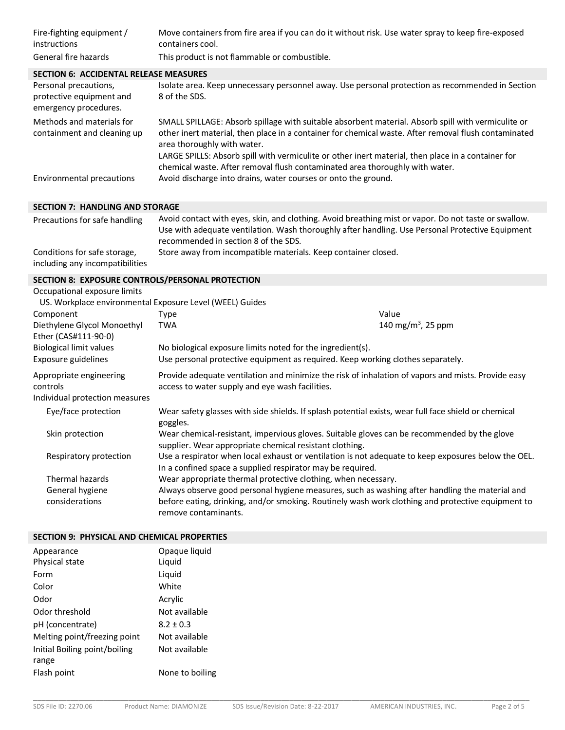| Fire-fighting equipment /<br><i>instructions</i><br>General fire hazards   | Move containers from fire area if you can do it without risk. Use water spray to keep fire-exposed<br>containers cool.<br>This product is not flammable or combustible.                                                                                                                                                                                                                                                         |
|----------------------------------------------------------------------------|---------------------------------------------------------------------------------------------------------------------------------------------------------------------------------------------------------------------------------------------------------------------------------------------------------------------------------------------------------------------------------------------------------------------------------|
| <b>SECTION 6: ACCIDENTAL RELEASE MEASURES</b>                              |                                                                                                                                                                                                                                                                                                                                                                                                                                 |
| Personal precautions,<br>protective equipment and<br>emergency procedures. | Isolate area. Keep unnecessary personnel away. Use personal protection as recommended in Section<br>8 of the SDS.                                                                                                                                                                                                                                                                                                               |
| Methods and materials for<br>containment and cleaning up                   | SMALL SPILLAGE: Absorb spillage with suitable absorbent material. Absorb spill with vermiculite or<br>other inert material, then place in a container for chemical waste. After removal flush contaminated<br>area thoroughly with water.<br>LARGE SPILLS: Absorb spill with vermiculite or other inert material, then place in a container for<br>chemical waste. After removal flush contaminated area thoroughly with water. |
| Environmental precautions                                                  | Avoid discharge into drains, water courses or onto the ground.                                                                                                                                                                                                                                                                                                                                                                  |

#### **SECTION 7: HANDLING AND STORAGE**

| Precautions for safe handling   | Avoid contact with eyes, skin, and clothing. Avoid breathing mist or vapor. Do not taste or swallow. |
|---------------------------------|------------------------------------------------------------------------------------------------------|
|                                 | Use with adequate ventilation. Wash thoroughly after handling. Use Personal Protective Equipment     |
|                                 | recommended in section 8 of the SDS.                                                                 |
| Conditions for safe storage,    | Store away from incompatible materials. Keep container closed.                                       |
| including any incompatibilities |                                                                                                      |

## **SECTION 8: EXPOSURE CONTROLS/PERSONAL PROTECTION**

| Occupational exposure limits                                          |                                                                                                                                                                   |  |                                                                                                                                                                                                     |
|-----------------------------------------------------------------------|-------------------------------------------------------------------------------------------------------------------------------------------------------------------|--|-----------------------------------------------------------------------------------------------------------------------------------------------------------------------------------------------------|
|                                                                       | US. Workplace environmental Exposure Level (WEEL) Guides                                                                                                          |  |                                                                                                                                                                                                     |
| Component                                                             | Type                                                                                                                                                              |  | Value                                                                                                                                                                                               |
| Diethylene Glycol Monoethyl<br>Ether (CAS#111-90-0)                   | <b>TWA</b>                                                                                                                                                        |  | 140 mg/m <sup>3</sup> , 25 ppm                                                                                                                                                                      |
| <b>Biological limit values</b>                                        | No biological exposure limits noted for the ingredient(s).                                                                                                        |  |                                                                                                                                                                                                     |
| Exposure guidelines                                                   | Use personal protective equipment as required. Keep working clothes separately.                                                                                   |  |                                                                                                                                                                                                     |
| Appropriate engineering<br>controls<br>Individual protection measures | Provide adequate ventilation and minimize the risk of inhalation of vapors and mists. Provide easy<br>access to water supply and eye wash facilities.             |  |                                                                                                                                                                                                     |
| Eye/face protection                                                   | goggles.                                                                                                                                                          |  | Wear safety glasses with side shields. If splash potential exists, wear full face shield or chemical                                                                                                |
| Skin protection                                                       | Wear chemical-resistant, impervious gloves. Suitable gloves can be recommended by the glove<br>supplier. Wear appropriate chemical resistant clothing.            |  |                                                                                                                                                                                                     |
| Respiratory protection                                                | Use a respirator when local exhaust or ventilation is not adequate to keep exposures below the OEL.<br>In a confined space a supplied respirator may be required. |  |                                                                                                                                                                                                     |
| Thermal hazards                                                       | Wear appropriate thermal protective clothing, when necessary.                                                                                                     |  |                                                                                                                                                                                                     |
| General hygiene<br>considerations                                     | remove contaminants.                                                                                                                                              |  | Always observe good personal hygiene measures, such as washing after handling the material and<br>before eating, drinking, and/or smoking. Routinely wash work clothing and protective equipment to |

## **SECTION 9: PHYSICAL AND CHEMICAL PROPERTIES**

| Appearance                             | Opaque liquid   |
|----------------------------------------|-----------------|
| Physical state                         | Liquid          |
| Form                                   | Liquid          |
| Color                                  | White           |
| Odor                                   | Acrylic         |
| Odor threshold                         | Not available   |
| pH (concentrate)                       | $8.2 \pm 0.3$   |
| Melting point/freezing point           | Not available   |
| Initial Boiling point/boiling<br>range | Not available   |
| Flash point                            | None to boiling |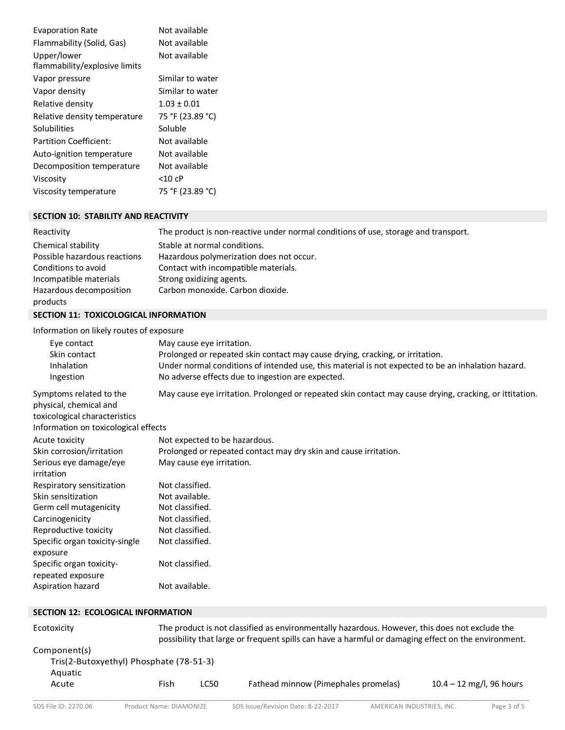| <b>Evaporation Rate</b>       | Not available    |
|-------------------------------|------------------|
| Flammability (Solid, Gas)     | Not available    |
| Upper/lower                   | Not available    |
| flammability/explosive limits |                  |
| Vapor pressure                | Similar to water |
| Vapor density                 | Similar to water |
| Relative density              | $1.03 \pm 0.01$  |
| Relative density temperature  | 75 °F (23.89 °C) |
| Solubilities                  | Soluble          |
| <b>Partition Coefficient:</b> | Not available    |
| Auto-ignition temperature     | Not available    |
| Decomposition temperature     | Not available    |
| Viscosity                     | <10 cP           |
| Viscosity temperature         | 75 °F (23.89 °C) |

# **SECTION 10: STABILITY AND REACTIVITY**

| Reactivity                   | The product is non-reactive under normal conditions of use, storage and transport. |
|------------------------------|------------------------------------------------------------------------------------|
| Chemical stability           | Stable at normal conditions.                                                       |
| Possible hazardous reactions | Hazardous polymerization does not occur.                                           |
| Conditions to avoid          | Contact with incompatible materials.                                               |
| Incompatible materials       | Strong oxidizing agents.                                                           |
| Hazardous decomposition      | Carbon monoxide. Carbon dioxide.                                                   |
| products                     |                                                                                    |

## **SECTION 11: TOXICOLOGICAL INFORMATION**

Information on likely routes of exposure

| Eye contact                                                                                                                | May cause eye irritation.                                                                               |
|----------------------------------------------------------------------------------------------------------------------------|---------------------------------------------------------------------------------------------------------|
| Skin contact                                                                                                               | Prolonged or repeated skin contact may cause drying, cracking, or irritation.                           |
| Inhalation                                                                                                                 | Under normal conditions of intended use, this material is not expected to be an inhalation hazard.      |
| Ingestion                                                                                                                  | No adverse effects due to ingestion are expected.                                                       |
| Symptoms related to the<br>physical, chemical and<br>toxicological characteristics<br>Information on toxicological effects | May cause eye irritation. Prolonged or repeated skin contact may cause drying, cracking, or ittitation. |
|                                                                                                                            |                                                                                                         |
| Acute toxicity                                                                                                             | Not expected to be hazardous.                                                                           |
| Skin corrosion/irritation                                                                                                  | Prolonged or repeated contact may dry skin and cause irritation.                                        |
| Serious eye damage/eye<br>irritation                                                                                       | May cause eye irritation.                                                                               |
| Respiratory sensitization                                                                                                  | Not classified.                                                                                         |
| Skin sensitization                                                                                                         | Not available.                                                                                          |
| Germ cell mutagenicity                                                                                                     | Not classified.                                                                                         |
| Carcinogenicity                                                                                                            | Not classified.                                                                                         |
| Reproductive toxicity                                                                                                      | Not classified.                                                                                         |
| Specific organ toxicity-single<br>exposure                                                                                 | Not classified.                                                                                         |
| Specific organ toxicity-<br>repeated exposure                                                                              | Not classified.                                                                                         |
| Aspiration hazard                                                                                                          | Not available.                                                                                          |

#### **SECTION 12: ECOLOGICAL INFORMATION**

| Ecotoxicity                             |      | The product is not classified as environmentally hazardous. However, this does not exclude the<br>possibility that large or frequent spills can have a harmful or damaging effect on the environment. |                                      |                            |
|-----------------------------------------|------|-------------------------------------------------------------------------------------------------------------------------------------------------------------------------------------------------------|--------------------------------------|----------------------------|
| Component(s)                            |      |                                                                                                                                                                                                       |                                      |                            |
| Tris(2-Butoxyethyl) Phosphate (78-51-3) |      |                                                                                                                                                                                                       |                                      |                            |
| Aquatic                                 |      |                                                                                                                                                                                                       |                                      |                            |
| Acute                                   | Fish | <b>LC50</b>                                                                                                                                                                                           | Fathead minnow (Pimephales promelas) | $10.4 - 12$ mg/l, 96 hours |
|                                         |      |                                                                                                                                                                                                       |                                      |                            |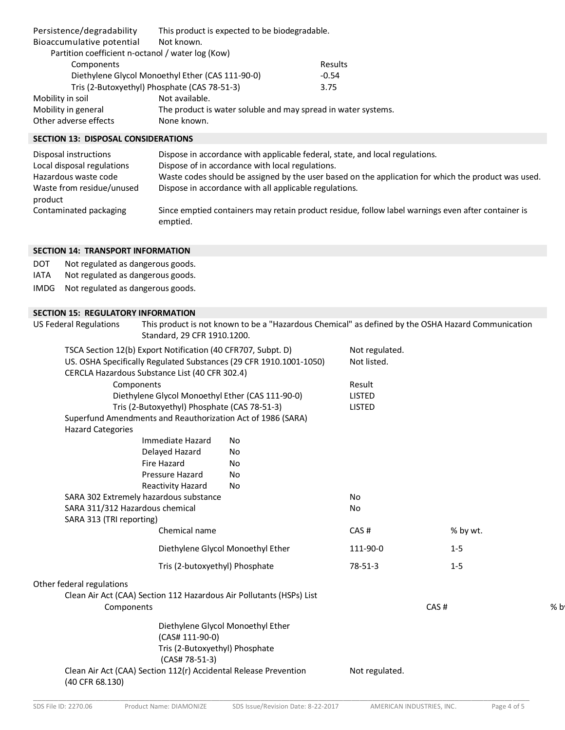| Persistence/degradability                         | This product is expected to be biodegradable.                 |         |
|---------------------------------------------------|---------------------------------------------------------------|---------|
| Bioaccumulative potential                         | Not known.                                                    |         |
| Partition coefficient n-octanol / water log (Kow) |                                                               |         |
| Components                                        |                                                               | Results |
|                                                   | Diethylene Glycol Monoethyl Ether (CAS 111-90-0)              | $-0.54$ |
|                                                   | Tris (2-Butoxyethyl) Phosphate (CAS 78-51-3)                  | 3.75    |
| Mobility in soil                                  | Not available.                                                |         |
| Mobility in general                               | The product is water soluble and may spread in water systems. |         |
| Other adverse effects                             | None known.                                                   |         |
|                                                   |                                                               |         |

# **SECTION 13: DISPOSAL CONSIDERATIONS**

| Disposal instructions                | Dispose in accordance with applicable federal, state, and local regulations.                                   |
|--------------------------------------|----------------------------------------------------------------------------------------------------------------|
| Local disposal regulations           | Dispose of in accordance with local regulations.                                                               |
| Hazardous waste code                 | Waste codes should be assigned by the user based on the application for which the product was used.            |
| Waste from residue/unused<br>product | Dispose in accordance with all applicable regulations.                                                         |
| Contaminated packaging               | Since emptied containers may retain product residue, follow label warnings even after container is<br>emptied. |

### **SECTION 14: TRANSPORT INFORMATION**

| DOT  | Not regulated as dangerous goods. |
|------|-----------------------------------|
| IATA | Not regulated as dangerous goods. |

IMDG Not regulated as dangerous goods.

## **SECTION 15: REGULATORY INFORMATION**

| <b>US Federal Regulations</b>   | Standard, 29 CFR 1910.1200.                                        | This product is not known to be a "Hazardous Chemical" as defined by the OSHA Hazard Communication |                |          |     |
|---------------------------------|--------------------------------------------------------------------|----------------------------------------------------------------------------------------------------|----------------|----------|-----|
|                                 | TSCA Section 12(b) Export Notification (40 CFR707, Subpt. D)       |                                                                                                    |                |          |     |
|                                 | US. OSHA Specifically Regulated Substances (29 CFR 1910.1001-1050) |                                                                                                    |                |          |     |
|                                 | CERCLA Hazardous Substance List (40 CFR 302.4)                     |                                                                                                    |                |          |     |
|                                 | Components                                                         |                                                                                                    | Result         |          |     |
|                                 | Diethylene Glycol Monoethyl Ether (CAS 111-90-0)                   |                                                                                                    | <b>LISTED</b>  |          |     |
|                                 | Tris (2-Butoxyethyl) Phosphate (CAS 78-51-3)                       |                                                                                                    | <b>LISTED</b>  |          |     |
| <b>Hazard Categories</b>        |                                                                    | Superfund Amendments and Reauthorization Act of 1986 (SARA)                                        |                |          |     |
|                                 | Immediate Hazard                                                   | No                                                                                                 |                |          |     |
|                                 | Delayed Hazard                                                     | No                                                                                                 |                |          |     |
|                                 | Fire Hazard                                                        | No                                                                                                 |                |          |     |
|                                 | Pressure Hazard                                                    | No                                                                                                 |                |          |     |
|                                 | Reactivity Hazard                                                  | No                                                                                                 |                |          |     |
|                                 | SARA 302 Extremely hazardous substance                             |                                                                                                    | No             |          |     |
| SARA 311/312 Hazardous chemical |                                                                    |                                                                                                    | No             |          |     |
| SARA 313 (TRI reporting)        |                                                                    |                                                                                                    |                |          |     |
|                                 | Chemical name                                                      |                                                                                                    | CAS#           | % by wt. |     |
|                                 |                                                                    | Diethylene Glycol Monoethyl Ether                                                                  | 111-90-0       | $1-5$    |     |
|                                 | Tris (2-butoxyethyl) Phosphate                                     |                                                                                                    | $78 - 51 - 3$  | $1 - 5$  |     |
| Other federal regulations       |                                                                    |                                                                                                    |                |          |     |
| Components                      |                                                                    | Clean Air Act (CAA) Section 112 Hazardous Air Pollutants (HSPs) List                               |                | CAS#     | % b |
|                                 |                                                                    | Diethylene Glycol Monoethyl Ether                                                                  |                |          |     |
|                                 | (CAS# 111-90-0)                                                    |                                                                                                    |                |          |     |
|                                 | Tris (2-Butoxyethyl) Phosphate                                     |                                                                                                    |                |          |     |
|                                 | (CAS# 78-51-3)                                                     |                                                                                                    |                |          |     |
| (40 CFR 68.130)                 | Clean Air Act (CAA) Section 112(r) Accidental Release Prevention   |                                                                                                    | Not regulated. |          |     |